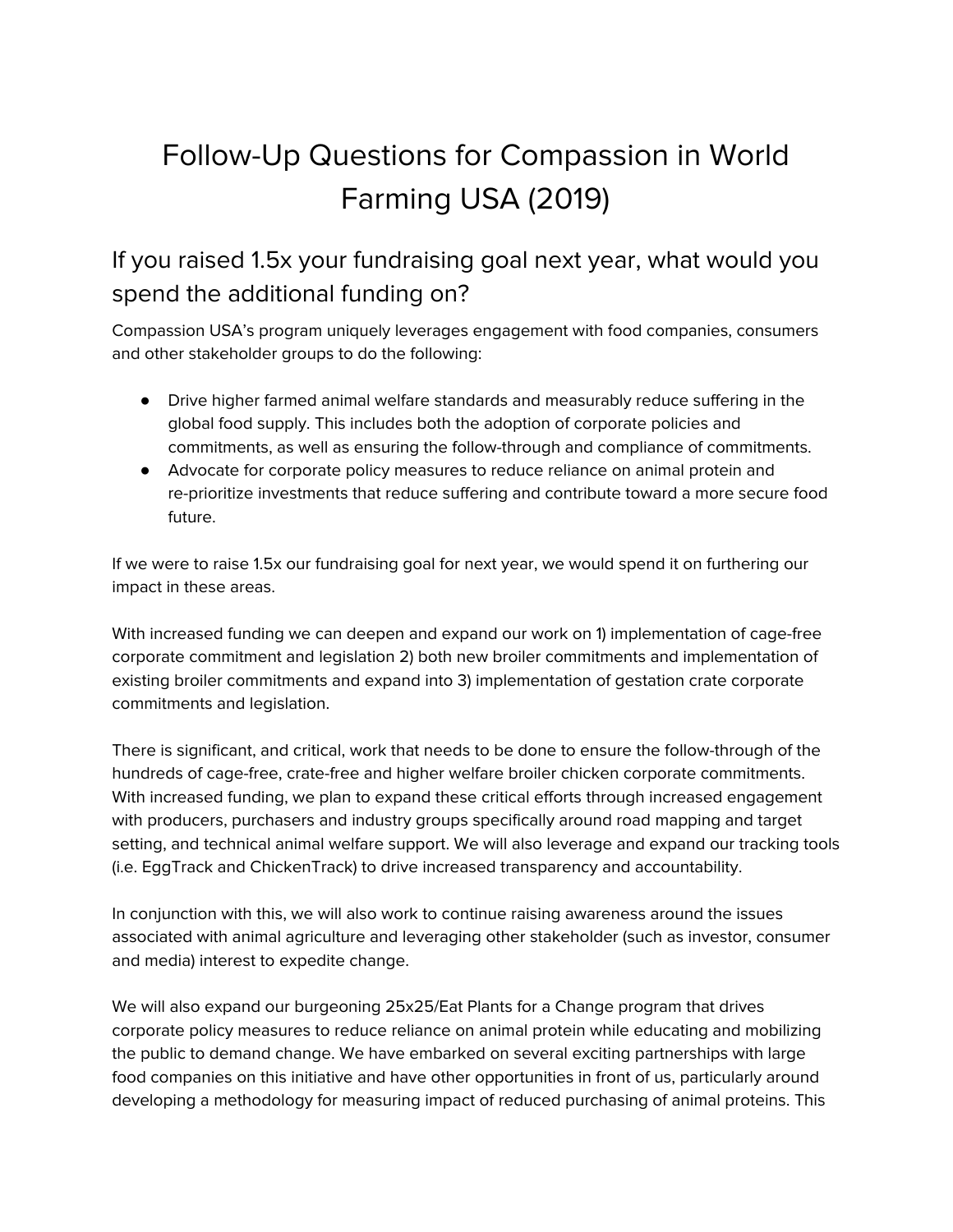# Follow-Up Questions for Compassion in World Farming USA (2019)

### If you raised 1.5x your fundraising goal next year, what would you spend the additional funding on?

Compassion USA's program uniquely leverages engagement with food companies, consumers and other stakeholder groups to do the following:

- Drive higher farmed animal welfare standards and measurably reduce suffering in the global food supply. This includes both the adoption of corporate policies and commitments, as well as ensuring the follow-through and compliance of commitments.
- Advocate for corporate policy measures to reduce reliance on animal protein and re-prioritize investments that reduce suffering and contribute toward a more secure food future.

If we were to raise 1.5x our fundraising goal for next year, we would spend it on furthering our impact in these areas.

With increased funding we can deepen and expand our work on 1) implementation of cage-free corporate commitment and legislation 2) both new broiler commitments and implementation of existing broiler commitments and expand into 3) implementation of gestation crate corporate commitments and legislation.

There is significant, and critical, work that needs to be done to ensure the follow-through of the hundreds of cage-free, crate-free and higher welfare broiler chicken corporate commitments. With increased funding, we plan to expand these critical efforts through increased engagement with producers, purchasers and industry groups specifically around road mapping and target setting, and technical animal welfare support. We will also leverage and expand our tracking tools (i.e. EggTrack and ChickenTrack) to drive increased transparency and accountability.

In conjunction with this, we will also work to continue raising awareness around the issues associated with animal agriculture and leveraging other stakeholder (such as investor, consumer and media) interest to expedite change.

We will also expand our burgeoning 25x25/Eat Plants for a Change program that drives corporate policy measures to reduce reliance on animal protein while educating and mobilizing the public to demand change. We have embarked on several exciting partnerships with large food companies on this initiative and have other opportunities in front of us, particularly around developing a methodology for measuring impact of reduced purchasing of animal proteins. This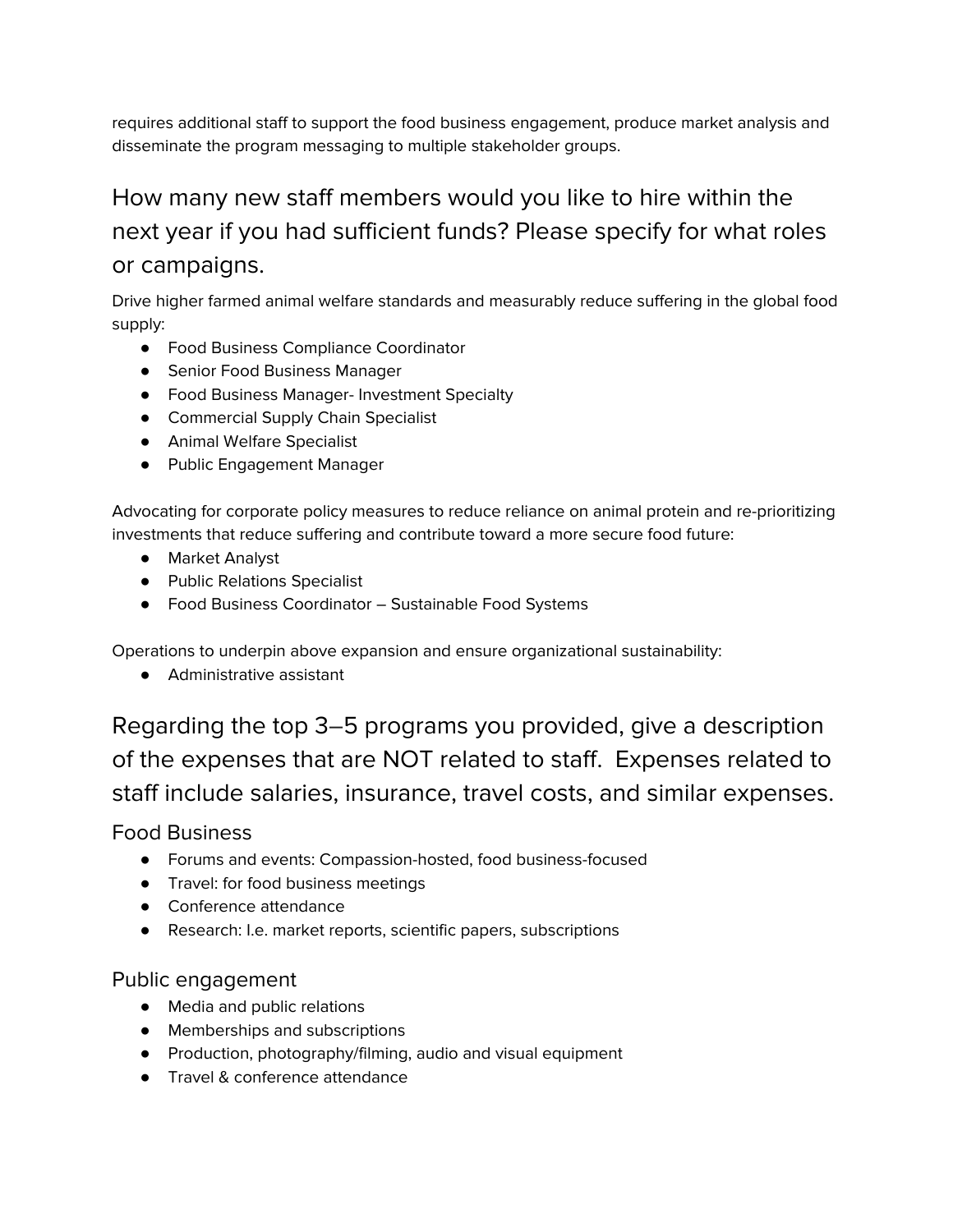requires additional staff to support the food business engagement, produce market analysis and disseminate the program messaging to multiple stakeholder groups.

## How many new staff members would you like to hire within the next year if you had sufficient funds? Please specify for what roles or campaigns.

Drive higher farmed animal welfare standards and measurably reduce suffering in the global food supply:

- Food Business Compliance Coordinator
- Senior Food Business Manager
- Food Business Manager- Investment Specialty
- Commercial Supply Chain Specialist
- Animal Welfare Specialist
- Public Engagement Manager

Advocating for corporate policy measures to reduce reliance on animal protein and re-prioritizing investments that reduce suffering and contribute toward a more secure food future:

- Market Analyst
- Public Relations Specialist
- Food Business Coordinator Sustainable Food Systems

Operations to underpin above expansion and ensure organizational sustainability:

● Administrative assistant

Regarding the top 3–5 programs you provided, give a description of the expenses that are NOT related to staff. Expenses related to staff include salaries, insurance, travel costs, and similar expenses.

Food Business

- Forums and events: Compassion-hosted, food business-focused
- Travel: for food business meetings
- Conference attendance
- Research: I.e. market reports, scientific papers, subscriptions

### Public engagement

- Media and public relations
- Memberships and subscriptions
- Production, photography/filming, audio and visual equipment
- Travel & conference attendance